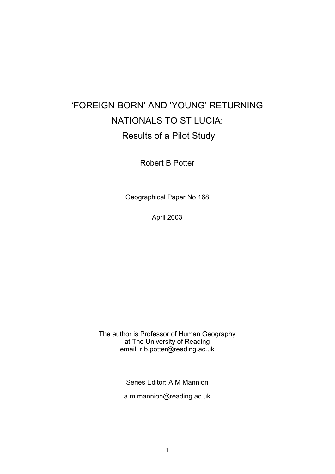# 'FOREIGN-BORN' AND 'YOUNG' RETURNING NATIONALS TO ST LUCIA: Results of a Pilot Study

Robert B Potter

Geographical Paper No 168

April 2003

The author is Professor of Human Geography at The University of Reading email: r.b.potter@reading.ac.uk

Series Editor: A M Mannion

a.m.mannion@reading.ac.uk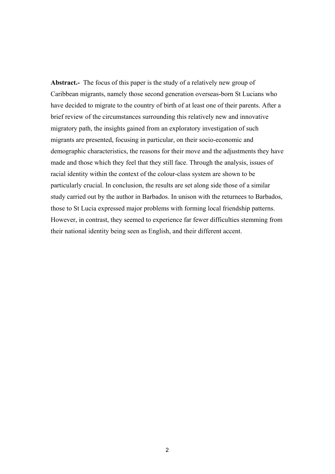**Abstract.-** The focus of this paper is the study of a relatively new group of Caribbean migrants, namely those second generation overseas-born St Lucians who have decided to migrate to the country of birth of at least one of their parents. After a brief review of the circumstances surrounding this relatively new and innovative migratory path, the insights gained from an exploratory investigation of such migrants are presented, focusing in particular, on their socio-economic and demographic characteristics, the reasons for their move and the adjustments they have made and those which they feel that they still face. Through the analysis, issues of racial identity within the context of the colour-class system are shown to be particularly crucial. In conclusion, the results are set along side those of a similar study carried out by the author in Barbados. In unison with the returnees to Barbados, those to St Lucia expressed major problems with forming local friendship patterns. However, in contrast, they seemed to experience far fewer difficulties stemming from their national identity being seen as English, and their different accent.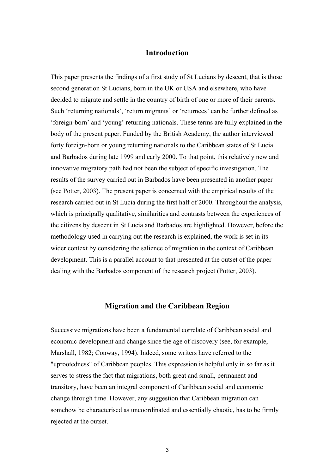# **Introduction**

This paper presents the findings of a first study of St Lucians by descent, that is those second generation St Lucians, born in the UK or USA and elsewhere, who have decided to migrate and settle in the country of birth of one or more of their parents. Such 'returning nationals', 'return migrants' or 'returnees' can be further defined as 'foreign-born' and 'young' returning nationals. These terms are fully explained in the body of the present paper. Funded by the British Academy, the author interviewed forty foreign-born or young returning nationals to the Caribbean states of St Lucia and Barbados during late 1999 and early 2000. To that point, this relatively new and innovative migratory path had not been the subject of specific investigation. The results of the survey carried out in Barbados have been presented in another paper (see Potter, 2003). The present paper is concerned with the empirical results of the research carried out in St Lucia during the first half of 2000. Throughout the analysis, which is principally qualitative, similarities and contrasts between the experiences of the citizens by descent in St Lucia and Barbados are highlighted. However, before the methodology used in carrying out the research is explained, the work is set in its wider context by considering the salience of migration in the context of Caribbean development. This is a parallel account to that presented at the outset of the paper dealing with the Barbados component of the research project (Potter, 2003).

# **Migration and the Caribbean Region**

Successive migrations have been a fundamental correlate of Caribbean social and economic development and change since the age of discovery (see, for example, Marshall, 1982; Conway, 1994). Indeed, some writers have referred to the "uprootedness" of Caribbean peoples. This expression is helpful only in so far as it serves to stress the fact that migrations, both great and small, permanent and transitory, have been an integral component of Caribbean social and economic change through time. However, any suggestion that Caribbean migration can somehow be characterised as uncoordinated and essentially chaotic, has to be firmly rejected at the outset.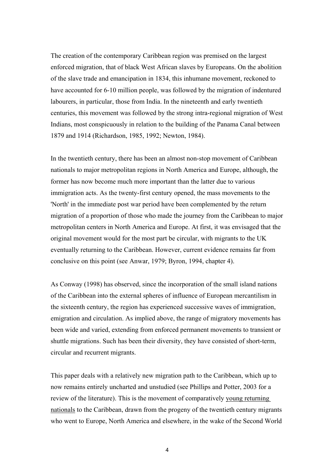The creation of the contemporary Caribbean region was premised on the largest enforced migration, that of black West African slaves by Europeans. On the abolition of the slave trade and emancipation in 1834, this inhumane movement, reckoned to have accounted for 6-10 million people, was followed by the migration of indentured labourers, in particular, those from India. In the nineteenth and early twentieth centuries, this movement was followed by the strong intra-regional migration of West Indians, most conspicuously in relation to the building of the Panama Canal between 1879 and 1914 (Richardson, 1985, 1992; Newton, 1984).

In the twentieth century, there has been an almost non-stop movement of Caribbean nationals to major metropolitan regions in North America and Europe, although, the former has now become much more important than the latter due to various immigration acts. As the twenty-first century opened, the mass movements to the 'North' in the immediate post war period have been complemented by the return migration of a proportion of those who made the journey from the Caribbean to major metropolitan centers in North America and Europe. At first, it was envisaged that the original movement would for the most part be circular, with migrants to the UK eventually returning to the Caribbean. However, current evidence remains far from conclusive on this point (see Anwar, 1979; Byron, 1994, chapter 4).

As Conway (1998) has observed, since the incorporation of the small island nations of the Caribbean into the external spheres of influence of European mercantilism in the sixteenth century, the region has experienced successive waves of immigration, emigration and circulation. As implied above, the range of migratory movements has been wide and varied, extending from enforced permanent movements to transient or shuttle migrations. Such has been their diversity, they have consisted of short-term, circular and recurrent migrants.

This paper deals with a relatively new migration path to the Caribbean, which up to now remains entirely uncharted and unstudied (see Phillips and Potter, 2003 for a review of the literature). This is the movement of comparatively young returning nationals to the Caribbean, drawn from the progeny of the twentieth century migrants who went to Europe, North America and elsewhere, in the wake of the Second World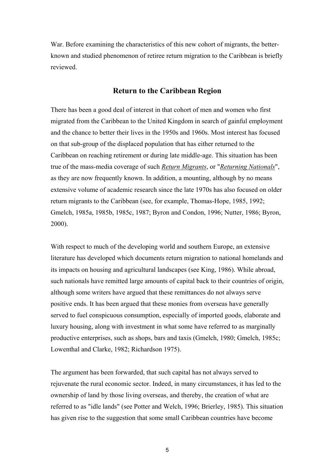War. Before examining the characteristics of this new cohort of migrants, the betterknown and studied phenomenon of retiree return migration to the Caribbean is briefly reviewed.

# **Return to the Caribbean Region**

There has been a good deal of interest in that cohort of men and women who first migrated from the Caribbean to the United Kingdom in search of gainful employment and the chance to better their lives in the 1950s and 1960s. Most interest has focused on that sub-group of the displaced population that has either returned to the Caribbean on reaching retirement or during late middle-age. This situation has been true of the mass-media coverage of such *Return Migrants*, or "*Returning Nationals*", as they are now frequently known. In addition, a mounting, although by no means extensive volume of academic research since the late 1970s has also focused on older return migrants to the Caribbean (see, for example, Thomas-Hope, 1985, 1992; Gmelch, 1985a, 1985b, 1985c, 1987; Byron and Condon, 1996; Nutter, 1986; Byron, 2000).

With respect to much of the developing world and southern Europe, an extensive literature has developed which documents return migration to national homelands and its impacts on housing and agricultural landscapes (see King, 1986). While abroad, such nationals have remitted large amounts of capital back to their countries of origin, although some writers have argued that these remittances do not always serve positive ends. It has been argued that these monies from overseas have generally served to fuel conspicuous consumption, especially of imported goods, elaborate and luxury housing, along with investment in what some have referred to as marginally productive enterprises, such as shops, bars and taxis (Gmelch, 1980; Gmelch, 1985c; Lowenthal and Clarke, 1982; Richardson 1975).

The argument has been forwarded, that such capital has not always served to rejuvenate the rural economic sector. Indeed, in many circumstances, it has led to the ownership of land by those living overseas, and thereby, the creation of what are referred to as "idle lands" (see Potter and Welch, 1996; Brierley, 1985). This situation has given rise to the suggestion that some small Caribbean countries have become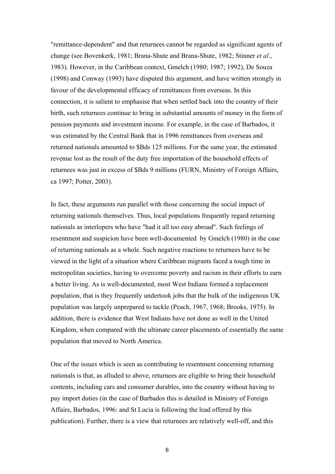"remittance-dependent" and that returnees cannot be regarded as significant agents of change (see Bovenkerk, 1981; Brana-Shute and Brana-Shute, 1982; Stinner *et al*., 1983). However, in the Caribbean context, Gmelch (1980; 1987; 1992), De Souza (1998) and Conway (1993) have disputed this argument, and have written strongly in favour of the developmental efficacy of remittances from overseas. In this connection, it is salient to emphasise that when settled back into the country of their birth, such returnees continue to bring in substantial amounts of money in the form of pension payments and investment income. For example, in the case of Barbados, it was estimated by the Central Bank that in 1996 remittances from overseas and returned nationals amounted to \$Bds 125 millions. For the same year, the estimated revenue lost as the result of the duty free importation of the household effects of returnees was just in excess of \$Bds 9 millions (FURN, Ministry of Foreign Affairs, ca 1997; Potter, 2003).

In fact, these arguments run parallel with those concerning the social impact of returning nationals themselves. Thus, local populations frequently regard returning nationals as interlopers who have "had it all too easy abroad". Such feelings of resentment and suspicion have been well-documented by Gmelch (1980) in the case of returning nationals as a whole. Such negative reactions to returnees have to be viewed in the light of a situation where Caribbean migrants faced a tough time in metropolitan societies, having to overcome poverty and racism in their efforts to earn a better living. As is well-documented, most West Indians formed a replacement population, that is they frequently undertook jobs that the bulk of the indigenous UK population was largely unprepared to tackle (Peach, 1967, 1968; Brooks, 1975). In addition, there is evidence that West Indians have not done as well in the United Kingdom, when compared with the ultimate career placements of essentially the same population that moved to North America.

One of the issues which is seen as contributing to resentment concerning returning nationals is that, as alluded to above, returnees are eligible to bring their household contents, including cars and consumer durables, into the country without having to pay import duties (in the case of Barbados this is detailed in Ministry of Foreign Affairs, Barbados, 1996: and St Lucia is following the lead offered by this publication). Further, there is a view that returnees are relatively well-off, and this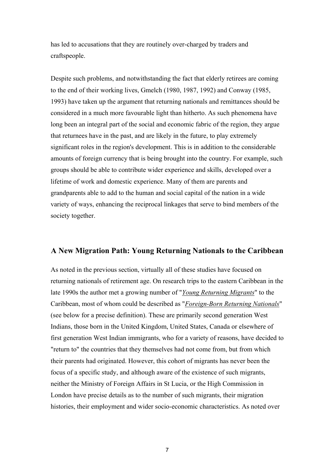has led to accusations that they are routinely over-charged by traders and craftspeople.

Despite such problems, and notwithstanding the fact that elderly retirees are coming to the end of their working lives, Gmelch (1980, 1987, 1992) and Conway (1985, 1993) have taken up the argument that returning nationals and remittances should be considered in a much more favourable light than hitherto. As such phenomena have long been an integral part of the social and economic fabric of the region, they argue that returnees have in the past, and are likely in the future, to play extremely significant roles in the region's development. This is in addition to the considerable amounts of foreign currency that is being brought into the country. For example, such groups should be able to contribute wider experience and skills, developed over a lifetime of work and domestic experience. Many of them are parents and grandparents able to add to the human and social capital of the nation in a wide variety of ways, enhancing the reciprocal linkages that serve to bind members of the society together.

# **A New Migration Path: Young Returning Nationals to the Caribbean**

As noted in the previous section, virtually all of these studies have focused on returning nationals of retirement age. On research trips to the eastern Caribbean in the late 1990s the author met a growing number of "*Young Returning Migrants*" to the Caribbean, most of whom could be described as "*Foreign-Born Returning Nationals*" (see below for a precise definition). These are primarily second generation West Indians, those born in the United Kingdom, United States, Canada or elsewhere of first generation West Indian immigrants, who for a variety of reasons, have decided to "return to" the countries that they themselves had not come from, but from which their parents had originated. However, this cohort of migrants has never been the focus of a specific study, and although aware of the existence of such migrants, neither the Ministry of Foreign Affairs in St Lucia, or the High Commission in London have precise details as to the number of such migrants, their migration histories, their employment and wider socio-economic characteristics. As noted over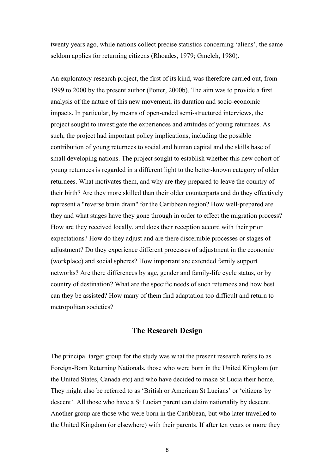twenty years ago, while nations collect precise statistics concerning 'aliens', the same seldom applies for returning citizens (Rhoades, 1979; Gmelch, 1980).

An exploratory research project, the first of its kind, was therefore carried out, from 1999 to 2000 by the present author (Potter, 2000b). The aim was to provide a first analysis of the nature of this new movement, its duration and socio-economic impacts. In particular, by means of open-ended semi-structured interviews, the project sought to investigate the experiences and attitudes of young returnees. As such, the project had important policy implications, including the possible contribution of young returnees to social and human capital and the skills base of small developing nations. The project sought to establish whether this new cohort of young returnees is regarded in a different light to the better-known category of older returnees. What motivates them, and why are they prepared to leave the country of their birth? Are they more skilled than their older counterparts and do they effectively represent a "reverse brain drain" for the Caribbean region? How well-prepared are they and what stages have they gone through in order to effect the migration process? How are they received locally, and does their reception accord with their prior expectations? How do they adjust and are there discernible processes or stages of adjustment? Do they experience different processes of adjustment in the economic (workplace) and social spheres? How important are extended family support networks? Are there differences by age, gender and family-life cycle status, or by country of destination? What are the specific needs of such returnees and how best can they be assisted? How many of them find adaptation too difficult and return to metropolitan societies?

#### **The Research Design**

The principal target group for the study was what the present research refers to as Foreign-Born Returning Nationals, those who were born in the United Kingdom (or the United States, Canada etc) and who have decided to make St Lucia their home. They might also be referred to as 'British or American St Lucians' or 'citizens by descent'. All those who have a St Lucian parent can claim nationality by descent. Another group are those who were born in the Caribbean, but who later travelled to the United Kingdom (or elsewhere) with their parents. If after ten years or more they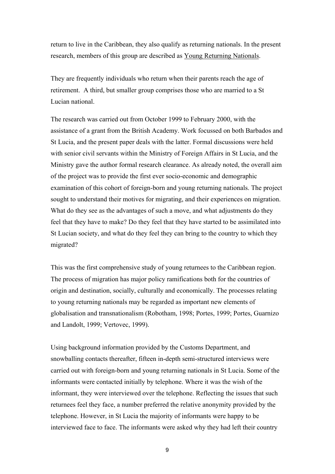return to live in the Caribbean, they also qualify as returning nationals. In the present research, members of this group are described as Young Returning Nationals.

They are frequently individuals who return when their parents reach the age of retirement. A third, but smaller group comprises those who are married to a St Lucian national.

The research was carried out from October 1999 to February 2000, with the assistance of a grant from the British Academy. Work focussed on both Barbados and St Lucia, and the present paper deals with the latter. Formal discussions were held with senior civil servants within the Ministry of Foreign Affairs in St Lucia, and the Ministry gave the author formal research clearance. As already noted, the overall aim of the project was to provide the first ever socio-economic and demographic examination of this cohort of foreign-born and young returning nationals. The project sought to understand their motives for migrating, and their experiences on migration. What do they see as the advantages of such a move, and what adjustments do they feel that they have to make? Do they feel that they have started to be assimilated into St Lucian society, and what do they feel they can bring to the country to which they migrated?

This was the first comprehensive study of young returnees to the Caribbean region. The process of migration has major policy ramifications both for the countries of origin and destination, socially, culturally and economically. The processes relating to young returning nationals may be regarded as important new elements of globalisation and transnationalism (Robotham, 1998; Portes, 1999; Portes, Guarnizo and Landolt, 1999; Vertovec, 1999).

Using background information provided by the Customs Department, and snowballing contacts thereafter, fifteen in-depth semi-structured interviews were carried out with foreign-born and young returning nationals in St Lucia. Some of the informants were contacted initially by telephone. Where it was the wish of the informant, they were interviewed over the telephone. Reflecting the issues that such returnees feel they face, a number preferred the relative anonymity provided by the telephone. However, in St Lucia the majority of informants were happy to be interviewed face to face. The informants were asked why they had left their country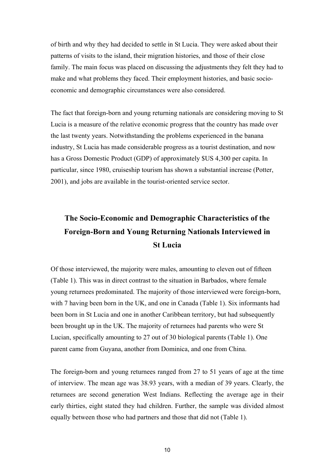of birth and why they had decided to settle in St Lucia. They were asked about their patterns of visits to the island, their migration histories, and those of their close family. The main focus was placed on discussing the adjustments they felt they had to make and what problems they faced. Their employment histories, and basic socioeconomic and demographic circumstances were also considered.

The fact that foreign-born and young returning nationals are considering moving to St Lucia is a measure of the relative economic progress that the country has made over the last twenty years. Notwithstanding the problems experienced in the banana industry, St Lucia has made considerable progress as a tourist destination, and now has a Gross Domestic Product (GDP) of approximately \$US 4,300 per capita. In particular, since 1980, cruiseship tourism has shown a substantial increase (Potter, 2001), and jobs are available in the tourist-oriented service sector.

# **The Socio-Economic and Demographic Characteristics of the Foreign-Born and Young Returning Nationals Interviewed in St Lucia**

Of those interviewed, the majority were males, amounting to eleven out of fifteen (Table 1). This was in direct contrast to the situation in Barbados, where female young returnees predominated. The majority of those interviewed were foreign-born, with 7 having been born in the UK, and one in Canada (Table 1). Six informants had been born in St Lucia and one in another Caribbean territory, but had subsequently been brought up in the UK. The majority of returnees had parents who were St Lucian, specifically amounting to 27 out of 30 biological parents (Table 1). One parent came from Guyana, another from Dominica, and one from China.

The foreign-born and young returnees ranged from 27 to 51 years of age at the time of interview. The mean age was 38.93 years, with a median of 39 years. Clearly, the returnees are second generation West Indians. Reflecting the average age in their early thirties, eight stated they had children. Further, the sample was divided almost equally between those who had partners and those that did not (Table 1).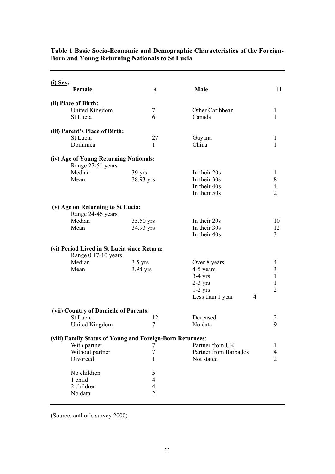| <u>(i) Sex:</u>                                                    |                          |                       |                         |  |  |
|--------------------------------------------------------------------|--------------------------|-----------------------|-------------------------|--|--|
| Female                                                             | 4                        | Male                  | 11                      |  |  |
| (ii) Place of Birth:                                               |                          |                       |                         |  |  |
| United Kingdom                                                     | $\tau$                   | Other Caribbean       | 1                       |  |  |
| St Lucia                                                           | 6                        | Canada                | 1                       |  |  |
| (iii) Parent's Place of Birth:                                     |                          |                       |                         |  |  |
| St Lucia                                                           | 27                       | Guyana                | 1                       |  |  |
| Dominica                                                           | 1                        | China                 | $\mathbf{1}$            |  |  |
| (iv) Age of Young Returning Nationals:<br>Range 27-51 years        |                          |                       |                         |  |  |
| Median                                                             | 39 yrs                   | In their 20s          | 1                       |  |  |
| Mean                                                               | 38.93 yrs                | In their 30s          | $\,$ $\,$               |  |  |
|                                                                    |                          | In their 40s          | $\overline{4}$          |  |  |
|                                                                    |                          | In their 50s          | $\overline{2}$          |  |  |
| (v) Age on Returning to St Lucia:                                  |                          |                       |                         |  |  |
| Range 24-46 years                                                  |                          |                       |                         |  |  |
| Median                                                             | 35.50 yrs                | In their 20s          | 10                      |  |  |
| Mean                                                               | 34.93 yrs                | In their 30s          | 12                      |  |  |
|                                                                    |                          | In their 40s          | $\overline{3}$          |  |  |
| (vi) Period Lived in St Lucia since Return:<br>Range 0.17-10 years |                          |                       |                         |  |  |
| Median                                                             | $3.5$ yrs                | Over 8 years          | 4                       |  |  |
| Mean                                                               | 3.94 yrs                 | 4-5 years             | $\overline{\mathbf{3}}$ |  |  |
|                                                                    |                          | $3-4$ yrs             | $\mathbf{1}$            |  |  |
|                                                                    |                          | $2-3$ yrs             | $\mathbf{1}$            |  |  |
|                                                                    |                          | $1-2$ yrs             | $\overline{2}$          |  |  |
|                                                                    |                          | Less than 1 year<br>4 |                         |  |  |
| (vii) Country of Domicile of Parents:                              |                          |                       |                         |  |  |
| St Lucia                                                           | 12                       | Deceased              | $\overline{2}$          |  |  |
| United Kingdom                                                     | $\tau$                   | No data               | 9                       |  |  |
| (viii) Family Status of Young and Foreign-Born Returnees:          |                          |                       |                         |  |  |
| With partner                                                       | 7                        | Partner from UK       | 1                       |  |  |
| Without partner                                                    | 7                        | Partner from Barbados | 4                       |  |  |
| Divorced                                                           | 1                        | Not stated            | $\overline{2}$          |  |  |
| No children                                                        | 5                        |                       |                         |  |  |
| 1 child                                                            | $\overline{4}$           |                       |                         |  |  |
| 2 children                                                         | $\overline{\mathcal{A}}$ |                       |                         |  |  |
| No data                                                            | $\overline{2}$           |                       |                         |  |  |
|                                                                    |                          |                       |                         |  |  |

#### **Table 1 Basic Socio-Economic and Demographic Characteristics of the Foreign-Born and Young Returning Nationals to St Lucia**

(Source: author's survey 2000)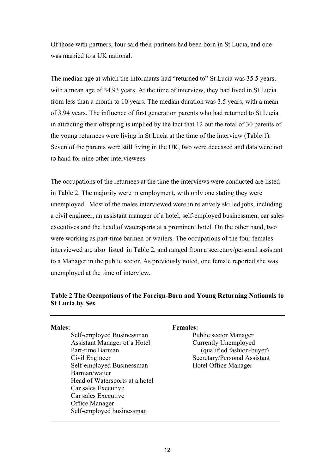Of those with partners, four said their partners had been born in St Lucia, and one was married to a UK national.

The median age at which the informants had "returned to" St Lucia was 35.5 years, with a mean age of 34.93 years. At the time of interview, they had lived in St Lucia from less than a month to 10 years. The median duration was 3.5 years, with a mean of 3.94 years. The influence of first generation parents who had returned to St Lucia in attracting their offspring is implied by the fact that 12 out the total of 30 parents of the young returnees were living in St Lucia at the time of the interview (Table 1). Seven of the parents were still living in the UK, two were deceased and data were not to hand for nine other interviewees.

The occupations of the returnees at the time the interviews were conducted are listed in Table 2. The majority were in employment, with only one stating they were unemployed. Most of the males interviewed were in relatively skilled jobs, including a civil engineer, an assistant manager of a hotel, self-employed businessmen, car sales executives and the head of watersports at a prominent hotel. On the other hand, two were working as part-time barmen or waiters. The occupations of the four females interviewed are also listed in Table 2, and ranged from a secretary/personal assistant to a Manager in the public sector. As previously noted, one female reported she was unemployed at the time of interview.

# **Table 2 The Occupations of the Foreign-Born and Young Returning Nationals to St Lucia by Sex**

Self-employed Businessman Public sector Manager Assistant Manager of a Hotel Currently Unemployed Part-time Barman (qualified fashion-buyer) Civil Engineer Secretary/Personal Assistant Self-employed Businessman Hotel Office Manager Barman/waiter Head of Watersports at a hotel Car sales Executive Car sales Executive Office Manager Self-employed businessman

#### **Males: Females:**

 $\mathcal{L}_\mathcal{L} = \mathcal{L}_\mathcal{L} = \mathcal{L}_\mathcal{L} = \mathcal{L}_\mathcal{L} = \mathcal{L}_\mathcal{L} = \mathcal{L}_\mathcal{L} = \mathcal{L}_\mathcal{L} = \mathcal{L}_\mathcal{L} = \mathcal{L}_\mathcal{L} = \mathcal{L}_\mathcal{L} = \mathcal{L}_\mathcal{L} = \mathcal{L}_\mathcal{L} = \mathcal{L}_\mathcal{L} = \mathcal{L}_\mathcal{L} = \mathcal{L}_\mathcal{L} = \mathcal{L}_\mathcal{L} = \mathcal{L}_\mathcal{L}$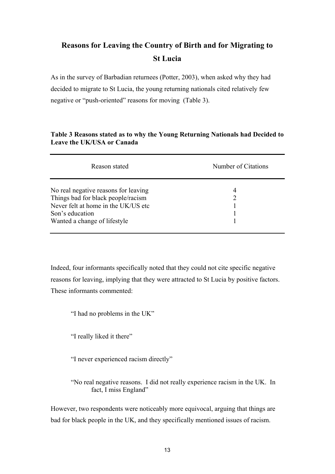# **Reasons for Leaving the Country of Birth and for Migrating to St Lucia**

As in the survey of Barbadian returnees (Potter, 2003), when asked why they had decided to migrate to St Lucia, the young returning nationals cited relatively few negative or "push-oriented" reasons for moving (Table 3).

# **Table 3 Reasons stated as to why the Young Returning Nationals had Decided to Leave the UK/USA or Canada**

| Reason stated                                                                                                                                                         | Number of Citations |
|-----------------------------------------------------------------------------------------------------------------------------------------------------------------------|---------------------|
| No real negative reasons for leaving<br>Things bad for black people/racism<br>Never felt at home in the UK/US etc.<br>Son's education<br>Wanted a change of lifestyle | 4                   |

Indeed, four informants specifically noted that they could not cite specific negative reasons for leaving, implying that they were attracted to St Lucia by positive factors. These informants commented:

"I had no problems in the UK"

"I really liked it there"

"I never experienced racism directly"

"No real negative reasons. I did not really experience racism in the UK. In fact, I miss England"

However, two respondents were noticeably more equivocal, arguing that things are bad for black people in the UK, and they specifically mentioned issues of racism.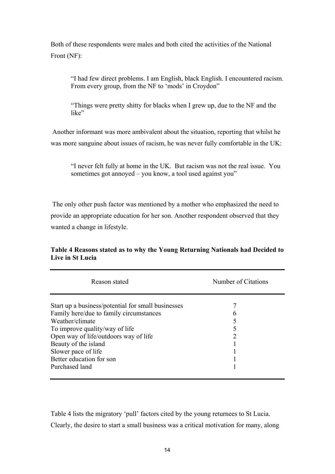Both of these respondents were males and both cited the activities of the National Front (NF):

"I had few direct problems. I am English, black English. I encountered racism. From every group, from the NF to 'mods' in Croydon"

"Things were pretty shitty for blacks when I grew up, due to the NF and the like"

 Another informant was more ambivalent about the situation, reporting that whilst he was more sanguine about issues of racism, he was never fully comfortable in the UK:

"I never felt fully at home in the UK. But racism was not the real issue. You sometimes got annoyed – you know, a tool used against you"

 The only other push factor was mentioned by a mother who emphasized the need to provide an appropriate education for her son. Another respondent observed that they wanted a change in lifestyle.

| Reason stated                                      | Number of Citations |  |
|----------------------------------------------------|---------------------|--|
| Start up a business/potential for small businesses |                     |  |
| Family here/due to family circumstances            |                     |  |
| Weather/climate                                    |                     |  |
| To improve quality/way of life                     |                     |  |
| Open way of life/outdoors way of life              | 2                   |  |
| Beauty of the island                               |                     |  |
| Slower pace of life                                |                     |  |
| Better education for son                           |                     |  |
| Purchased land                                     |                     |  |

### **Table 4 Reasons stated as to why the Young Returning Nationals had Decided to Live in St Lucia**

Table 4 lists the migratory 'pull' factors cited by the young returnees to St Lucia. Clearly, the desire to start a small business was a critical motivation for many, along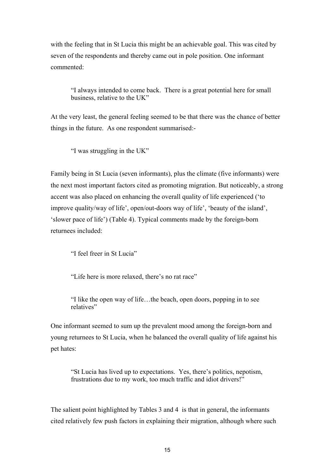with the feeling that in St Lucia this might be an achievable goal. This was cited by seven of the respondents and thereby came out in pole position. One informant commented:

"I always intended to come back. There is a great potential here for small business, relative to the UK"

At the very least, the general feeling seemed to be that there was the chance of better things in the future. As one respondent summarised:-

"I was struggling in the UK"

Family being in St Lucia (seven informants), plus the climate (five informants) were the next most important factors cited as promoting migration. But noticeably, a strong accent was also placed on enhancing the overall quality of life experienced ('to improve quality/way of life', open/out-doors way of life', 'beauty of the island', 'slower pace of life') (Table 4). Typical comments made by the foreign-born returnees included:

"I feel freer in St Lucia"

"Life here is more relaxed, there's no rat race"

"I like the open way of life…the beach, open doors, popping in to see relatives"

One informant seemed to sum up the prevalent mood among the foreign-born and young returnees to St Lucia, when he balanced the overall quality of life against his pet hates:

"St Lucia has lived up to expectations. Yes, there's politics, nepotism, frustrations due to my work, too much traffic and idiot drivers!"

The salient point highlighted by Tables 3 and 4 is that in general, the informants cited relatively few push factors in explaining their migration, although where such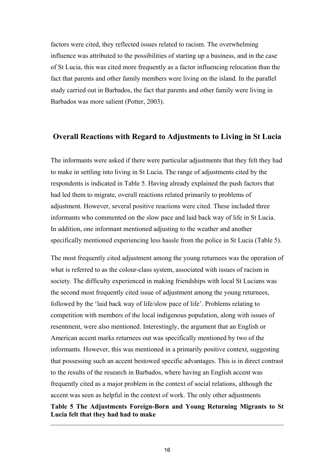factors were cited, they reflected issues related to racism. The overwhelming influence was attributed to the possibilities of starting up a business, and in the case of St Lucia, this was cited more frequently as a factor influencing relocation than the fact that parents and other family members were living on the island. In the parallel study carried out in Barbados, the fact that parents and other family were living in Barbados was more salient (Potter, 2003).

# **Overall Reactions with Regard to Adjustments to Living in St Lucia**

The informants were asked if there were particular adjustments that they felt they had to make in settling into living in St Lucia. The range of adjustments cited by the respondents is indicated in Table 5. Having already explained the push factors that had led them to migrate, overall reactions related primarily to problems of adjustment. However, several positive reactions were cited. These included three informants who commented on the slow pace and laid back way of life in St Lucia. In addition, one informant mentioned adjusting to the weather and another specifically mentioned experiencing less hassle from the police in St Lucia (Table 5).

The most frequently cited adjustment among the young returnees was the operation of what is referred to as the colour-class system, associated with issues of racism in society. The difficulty experienced in making friendships with local St Lucians was the second most frequently cited issue of adjustment among the young returnees, followed by the 'laid back way of life/slow pace of life'. Problems relating to competition with members of the local indigenous population, along with issues of resentment, were also mentioned. Interestingly, the argument that an English or American accent marks returnees out was specifically mentioned by two of the informants. However, this was mentioned in a primarily positive context, suggesting that possessing such an accent bestowed specific advantages. This is in direct contrast to the results of the research in Barbados, where having an English accent was frequently cited as a major problem in the context of social relations, although the accent was seen as helpful in the context of work. The only other adjustments

#### **Table 5 The Adjustments Foreign-Born and Young Returning Migrants to St Lucia felt that they had had to make**   $\mathcal{L}_\mathcal{L} = \mathcal{L}_\mathcal{L} = \mathcal{L}_\mathcal{L} = \mathcal{L}_\mathcal{L} = \mathcal{L}_\mathcal{L} = \mathcal{L}_\mathcal{L} = \mathcal{L}_\mathcal{L} = \mathcal{L}_\mathcal{L} = \mathcal{L}_\mathcal{L} = \mathcal{L}_\mathcal{L} = \mathcal{L}_\mathcal{L} = \mathcal{L}_\mathcal{L} = \mathcal{L}_\mathcal{L} = \mathcal{L}_\mathcal{L} = \mathcal{L}_\mathcal{L} = \mathcal{L}_\mathcal{L} = \mathcal{L}_\mathcal{L}$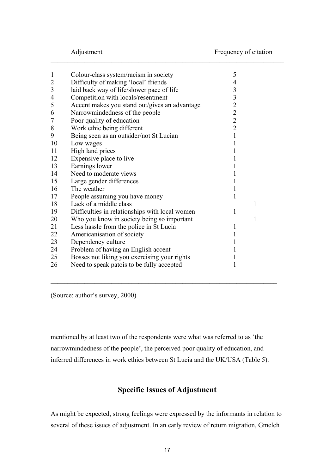| $\mathbf{1}$<br>$\overline{2}$ | Colour-class system/racism in society<br>Difficulty of making 'local' friends | 5<br>$\overline{4}$ |   |
|--------------------------------|-------------------------------------------------------------------------------|---------------------|---|
| $\overline{\mathbf{3}}$        | laid back way of life/slower pace of life                                     | 3                   |   |
| $\overline{4}$                 | Competition with locals/resentment                                            | 3                   |   |
| 5                              | Accent makes you stand out/gives an advantage                                 | $\overline{2}$      |   |
| 6                              | Narrowmindedness of the people                                                | $\overline{2}$      |   |
| $\overline{7}$                 | Poor quality of education                                                     | $\overline{2}$      |   |
| 8                              | Work ethic being different                                                    | $\overline{2}$      |   |
| 9                              | Being seen as an outsider/not St Lucian                                       | 1                   |   |
| 10                             | Low wages                                                                     | 1                   |   |
| 11                             | High land prices                                                              |                     |   |
| 12                             | Expensive place to live                                                       |                     |   |
| 13                             | Earnings lower                                                                |                     |   |
| 14                             | Need to moderate views                                                        |                     |   |
| 15                             | Large gender differences                                                      |                     |   |
| 16                             | The weather                                                                   |                     |   |
| 17                             | People assuming you have money                                                | 1                   |   |
| 18                             | Lack of a middle class                                                        |                     | 1 |
| 19                             | Difficulties in relationships with local women                                | 1                   |   |
| 20                             | Who you know in society being so important                                    |                     | 1 |
| 21                             | Less hassle from the police in St Lucia                                       | 1                   |   |
| 22                             | Americanisation of society                                                    | 1                   |   |
| 23                             | Dependency culture                                                            |                     |   |
| 24                             | Problem of having an English accent                                           |                     |   |
| 25                             | Bosses not liking you exercising your rights                                  |                     |   |
|                                |                                                                               |                     |   |
| 26                             | Need to speak patois to be fully accepted                                     | 1                   |   |

 $\mathcal{L}_\mathcal{L} = \mathcal{L}_\mathcal{L} = \mathcal{L}_\mathcal{L} = \mathcal{L}_\mathcal{L} = \mathcal{L}_\mathcal{L} = \mathcal{L}_\mathcal{L} = \mathcal{L}_\mathcal{L} = \mathcal{L}_\mathcal{L} = \mathcal{L}_\mathcal{L} = \mathcal{L}_\mathcal{L} = \mathcal{L}_\mathcal{L} = \mathcal{L}_\mathcal{L} = \mathcal{L}_\mathcal{L} = \mathcal{L}_\mathcal{L} = \mathcal{L}_\mathcal{L} = \mathcal{L}_\mathcal{L} = \mathcal{L}_\mathcal{L}$ 

(Source: author's survey, 2000)

mentioned by at least two of the respondents were what was referred to as 'the narrowmindedness of the people', the perceived poor quality of education, and inferred differences in work ethics between St Lucia and the UK/USA (Table 5).

 $\mathcal{L}_\mathcal{L} = \{ \mathcal{L}_\mathcal{L} = \{ \mathcal{L}_\mathcal{L} = \{ \mathcal{L}_\mathcal{L} = \{ \mathcal{L}_\mathcal{L} = \{ \mathcal{L}_\mathcal{L} = \{ \mathcal{L}_\mathcal{L} = \{ \mathcal{L}_\mathcal{L} = \{ \mathcal{L}_\mathcal{L} = \{ \mathcal{L}_\mathcal{L} = \{ \mathcal{L}_\mathcal{L} = \{ \mathcal{L}_\mathcal{L} = \{ \mathcal{L}_\mathcal{L} = \{ \mathcal{L}_\mathcal{L} = \{ \mathcal{L}_\mathcal{$ 

# **Specific Issues of Adjustment**

As might be expected, strong feelings were expressed by the informants in relation to several of these issues of adjustment. In an early review of return migration, Gmelch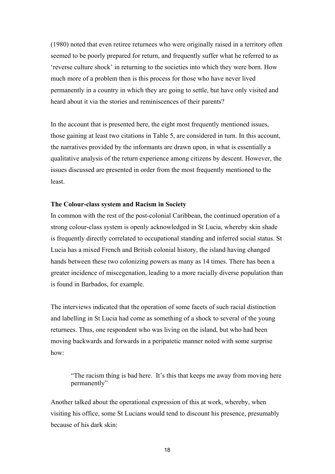(1980) noted that even retiree returnees who were originally raised in a territory often seemed to be poorly prepared for return, and frequently suffer what he referred to as 'reverse culture shock' in returning to the societies into which they were born. How much more of a problem then is this process for those who have never lived permanently in a country in which they are going to settle, but have only visited and heard about it via the stories and reminiscences of their parents?

In the account that is presented here, the eight most frequently mentioned issues, those gaining at least two citations in Table 5, are considered in turn. In this account, the narratives provided by the informants are drawn upon, in what is essentially a qualitative analysis of the return experience among citizens by descent. However, the issues discussed are presented in order from the most frequently mentioned to the least.

#### **The Colour-class system and Racism in Society**

In common with the rest of the post-colonial Caribbean, the continued operation of a strong colour-class system is openly acknowledged in St Lucia, whereby skin shade is frequently directly correlated to occupational standing and inferred social status. St Lucia has a mixed French and British colonial history, the island having changed hands between these two colonizing powers as many as 14 times. There has been a greater incidence of miscegenation, leading to a more racially diverse population than is found in Barbados, for example.

The interviews indicated that the operation of some facets of such racial distinction and labelling in St Lucia had come as something of a shock to several of the young returnees. Thus, one respondent who was living on the island, but who had been moving backwards and forwards in a peripatetic manner noted with some surprise how:

"The racism thing is bad here. It's this that keeps me away from moving here permanently"

Another talked about the operational expression of this at work, whereby, when visiting his office, some St Lucians would tend to discount his presence, presumably because of his dark skin: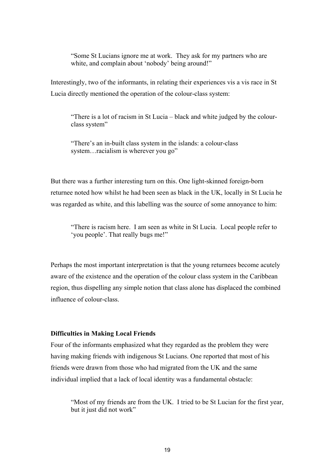"Some St Lucians ignore me at work. They ask for my partners who are white, and complain about 'nobody' being around!"

Interestingly, two of the informants, in relating their experiences vis a vis race in St Lucia directly mentioned the operation of the colour-class system:

"There is a lot of racism in St Lucia – black and white judged by the colourclass system"

"There's an in-built class system in the islands: a colour-class system…racialism is wherever you go"

But there was a further interesting turn on this. One light-skinned foreign-born returnee noted how whilst he had been seen as black in the UK, locally in St Lucia he was regarded as white, and this labelling was the source of some annoyance to him:

"There is racism here. I am seen as white in St Lucia. Local people refer to 'you people'. That really bugs me!"

Perhaps the most important interpretation is that the young returnees become acutely aware of the existence and the operation of the colour class system in the Caribbean region, thus dispelling any simple notion that class alone has displaced the combined influence of colour-class.

#### **Difficulties in Making Local Friends**

Four of the informants emphasized what they regarded as the problem they were having making friends with indigenous St Lucians. One reported that most of his friends were drawn from those who had migrated from the UK and the same individual implied that a lack of local identity was a fundamental obstacle:

"Most of my friends are from the UK. I tried to be St Lucian for the first year, but it just did not work"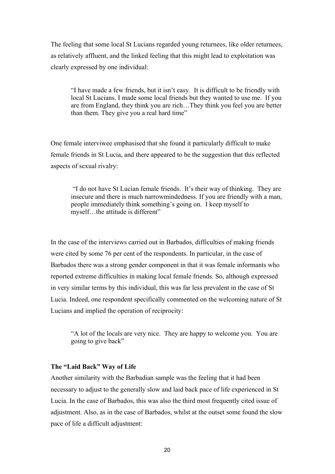The feeling that some local St Lucians regarded young returnees, like older returnees, as relatively affluent, and the linked feeling that this might lead to exploitation was clearly expressed by one individual:

"I have made a few friends, but it isn't easy. It is difficult to be friendly with local St Lucians. I made some local friends but they wanted to use me. If you are from England, they think you are rich…They think you feel you are better than them. They give you a real hard time"

One female interviwee emphasised that she found it particularly difficult to make female friends in St Lucia, and there appeared to be the suggestion that this reflected aspects of sexual rivalry:

 "I do not have St Lucian female friends. It's their way of thinking. They are insecure and there is much narrowmindedness. If you are friendly with a man, people immediately think something's going on. I keep myself to myself…the attitude is different"

In the case of the interviews carried out in Barbados, difficulties of making friends were cited by some 76 per cent of the respondents. In particular, in the case of Barbados there was a strong gender component in that it was female informants who reported extreme difficulties in making local female friends. So, although expressed in very similar terms by this individual, this was far less prevalent in the case of St Lucia. Indeed, one respondent specifically commented on the welcoming nature of St Lucians and implied the operation of reciprocity:

"A lot of the locals are very nice. They are happy to welcome you. You are going to give back"

#### **The "Laid Back" Way of Life**

Another similarity with the Barbadian sample was the feeling that it had been necessary to adjust to the generally slow and laid back pace of life experienced in St Lucia. In the case of Barbados, this was also the third most frequently cited issue of adjustment. Also, as in the case of Barbados, whilst at the outset some found the slow pace of life a difficult adjustment: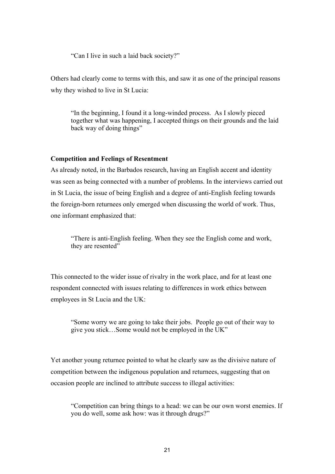"Can I live in such a laid back society?"

Others had clearly come to terms with this, and saw it as one of the principal reasons why they wished to live in St Lucia:

"In the beginning, I found it a long-winded process. As I slowly pieced together what was happening, I accepted things on their grounds and the laid back way of doing things"

#### **Competition and Feelings of Resentment**

As already noted, in the Barbados research, having an English accent and identity was seen as being connected with a number of problems. In the interviews carried out in St Lucia, the issue of being English and a degree of anti-English feeling towards the foreign-born returnees only emerged when discussing the world of work. Thus, one informant emphasized that:

"There is anti-English feeling. When they see the English come and work, they are resented"

This connected to the wider issue of rivalry in the work place, and for at least one respondent connected with issues relating to differences in work ethics between employees in St Lucia and the UK:

"Some worry we are going to take their jobs. People go out of their way to give you stick…Some would not be employed in the UK"

Yet another young returnee pointed to what he clearly saw as the divisive nature of competition between the indigenous population and returnees, suggesting that on occasion people are inclined to attribute success to illegal activities:

"Competition can bring things to a head: we can be our own worst enemies. If you do well, some ask how: was it through drugs?"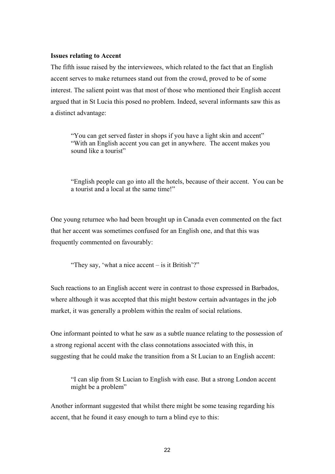#### **Issues relating to Accent**

The fifth issue raised by the interviewees, which related to the fact that an English accent serves to make returnees stand out from the crowd, proved to be of some interest. The salient point was that most of those who mentioned their English accent argued that in St Lucia this posed no problem. Indeed, several informants saw this as a distinct advantage:

"You can get served faster in shops if you have a light skin and accent" "With an English accent you can get in anywhere. The accent makes you sound like a tourist"

"English people can go into all the hotels, because of their accent. You can be a tourist and a local at the same time!"

One young returnee who had been brought up in Canada even commented on the fact that her accent was sometimes confused for an English one, and that this was frequently commented on favourably:

"They say, 'what a nice accent – is it British'?"

Such reactions to an English accent were in contrast to those expressed in Barbados, where although it was accepted that this might bestow certain advantages in the job market, it was generally a problem within the realm of social relations.

One informant pointed to what he saw as a subtle nuance relating to the possession of a strong regional accent with the class connotations associated with this, in suggesting that he could make the transition from a St Lucian to an English accent:

"I can slip from St Lucian to English with ease. But a strong London accent might be a problem"

Another informant suggested that whilst there might be some teasing regarding his accent, that he found it easy enough to turn a blind eye to this: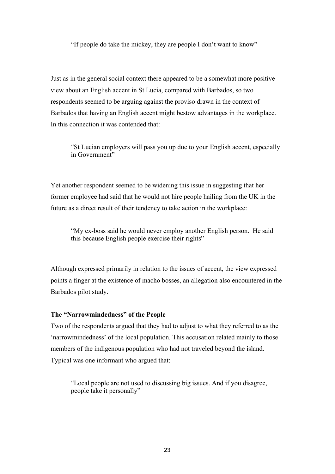"If people do take the mickey, they are people I don't want to know"

Just as in the general social context there appeared to be a somewhat more positive view about an English accent in St Lucia, compared with Barbados, so two respondents seemed to be arguing against the proviso drawn in the context of Barbados that having an English accent might bestow advantages in the workplace. In this connection it was contended that:

"St Lucian employers will pass you up due to your English accent, especially in Government"

Yet another respondent seemed to be widening this issue in suggesting that her former employee had said that he would not hire people hailing from the UK in the future as a direct result of their tendency to take action in the workplace:

"My ex-boss said he would never employ another English person. He said this because English people exercise their rights"

Although expressed primarily in relation to the issues of accent, the view expressed points a finger at the existence of macho bosses, an allegation also encountered in the Barbados pilot study.

#### **The "Narrowmindedness" of the People**

Two of the respondents argued that they had to adjust to what they referred to as the 'narrowmindedness' of the local population. This accusation related mainly to those members of the indigenous population who had not traveled beyond the island. Typical was one informant who argued that:

"Local people are not used to discussing big issues. And if you disagree, people take it personally"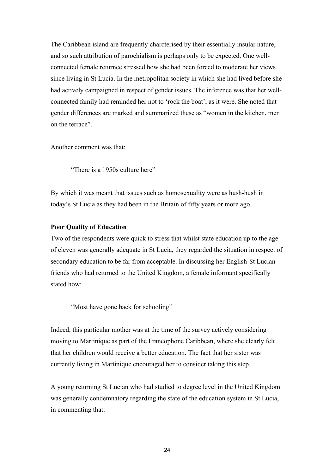The Caribbean island are frequently charcterised by their essentially insular nature, and so such attribution of parochialism is perhaps only to be expected. One wellconnected female returnee stressed how she had been forced to moderate her views since living in St Lucia. In the metropolitan society in which she had lived before she had actively campaigned in respect of gender issues. The inference was that her wellconnected family had reminded her not to 'rock the boat', as it were. She noted that gender differences are marked and summarized these as "women in the kitchen, men on the terrace".

Another comment was that:

"There is a 1950s culture here"

By which it was meant that issues such as homosexuality were as hush-hush in today's St Lucia as they had been in the Britain of fifty years or more ago.

#### **Poor Quality of Education**

Two of the respondents were quick to stress that whilst state education up to the age of eleven was generally adequate in St Lucia, they regarded the situation in respect of secondary education to be far from acceptable. In discussing her English-St Lucian friends who had returned to the United Kingdom, a female informant specifically stated how:

"Most have gone back for schooling"

Indeed, this particular mother was at the time of the survey actively considering moving to Martinique as part of the Francophone Caribbean, where she clearly felt that her children would receive a better education. The fact that her sister was currently living in Martinique encouraged her to consider taking this step.

A young returning St Lucian who had studied to degree level in the United Kingdom was generally condemnatory regarding the state of the education system in St Lucia, in commenting that: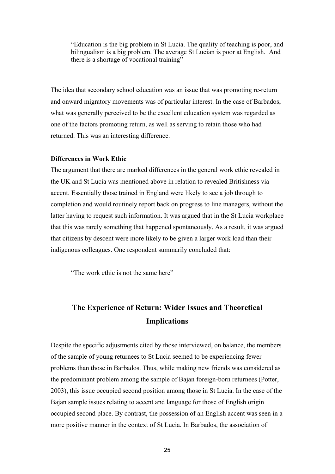"Education is the big problem in St Lucia. The quality of teaching is poor, and bilingualism is a big problem. The average St Lucian is poor at English. And there is a shortage of vocational training"

The idea that secondary school education was an issue that was promoting re-return and onward migratory movements was of particular interest. In the case of Barbados, what was generally perceived to be the excellent education system was regarded as one of the factors promoting return, as well as serving to retain those who had returned. This was an interesting difference.

#### **Differences in Work Ethic**

The argument that there are marked differences in the general work ethic revealed in the UK and St Lucia was mentioned above in relation to revealed Britishness via accent. Essentially those trained in England were likely to see a job through to completion and would routinely report back on progress to line managers, without the latter having to request such information. It was argued that in the St Lucia workplace that this was rarely something that happened spontaneously. As a result, it was argued that citizens by descent were more likely to be given a larger work load than their indigenous colleagues. One respondent summarily concluded that:

"The work ethic is not the same here"

# **The Experience of Return: Wider Issues and Theoretical Implications**

Despite the specific adjustments cited by those interviewed, on balance, the members of the sample of young returnees to St Lucia seemed to be experiencing fewer problems than those in Barbados. Thus, while making new friends was considered as the predominant problem among the sample of Bajan foreign-born returnees (Potter, 2003), this issue occupied second position among those in St Lucia. In the case of the Bajan sample issues relating to accent and language for those of English origin occupied second place. By contrast, the possession of an English accent was seen in a more positive manner in the context of St Lucia. In Barbados, the association of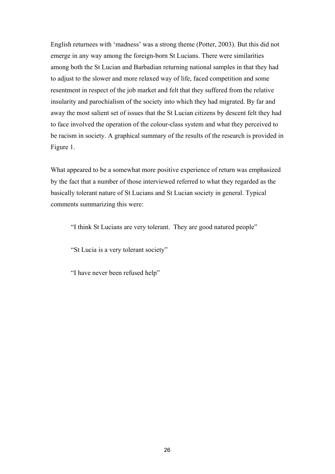English returnees with 'madness' was a strong theme (Potter, 2003). But this did not emerge in any way among the foreign-born St Lucians. There were similarities among both the St Lucian and Barbadian returning national samples in that they had to adjust to the slower and more relaxed way of life, faced competition and some resentment in respect of the job market and felt that they suffered from the relative insularity and parochialism of the society into which they had migrated. By far and away the most salient set of issues that the St Lucian citizens by descent felt they had to face involved the operation of the colour-class system and what they perceived to be racism in society. A graphical summary of the results of the research is provided in Figure 1.

What appeared to be a somewhat more positive experience of return was emphasized by the fact that a number of those interviewed referred to what they regarded as the basically tolerant nature of St Lucians and St Lucian society in general. Typical comments summarizing this were:

"I think St Lucians are very tolerant. They are good natured people"

"St Lucia is a very tolerant society"

"I have never been refused help"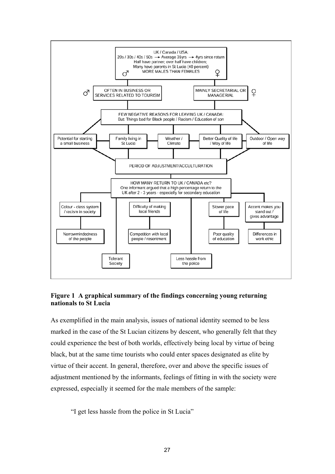

### **Figure 1 A graphical summary of the findings concerning young returning nationals to St Lucia**

As exemplified in the main analysis, issues of national identity seemed to be less marked in the case of the St Lucian citizens by descent, who generally felt that they could experience the best of both worlds, effectively being local by virtue of being black, but at the same time tourists who could enter spaces designated as elite by virtue of their accent. In general, therefore, over and above the specific issues of adjustment mentioned by the informants, feelings of fitting in with the society were expressed, especially it seemed for the male members of the sample:

"I get less hassle from the police in St Lucia"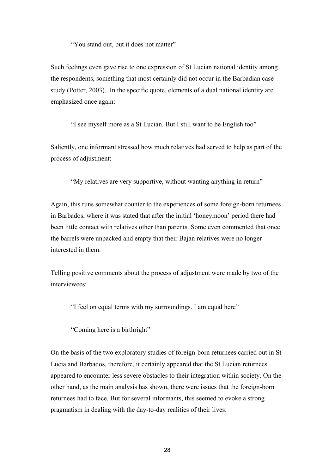"You stand out, but it does not matter"

Such feelings even gave rise to one expression of St Lucian national identity among the respondents, something that most certainly did not occur in the Barbadian case study (Potter, 2003). In the specific quote, elements of a dual national identity are emphasized once again:

"I see myself more as a St Lucian. But I still want to be English too"

Saliently, one informant stressed how much relatives had served to help as part of the process of adjustment:

"My relatives are very supportive, without wanting anything in return"

Again, this runs somewhat counter to the experiences of some foreign-born returnees in Barbados, where it was stated that after the initial 'honeymoon' period there had been little contact with relatives other than parents. Some even commented that once the barrels were unpacked and empty that their Bajan relatives were no longer interested in them.

Telling positive comments about the process of adjustment were made by two of the interviewees:

"I feel on equal terms with my surroundings. I am equal here"

"Coming here is a birthright"

On the basis of the two exploratory studies of foreign-born returnees carried out in St Lucia and Barbados, therefore, it certainly appeared that the St Lucian returnees appeared to encounter less severe obstacles to their integration within society. On the other hand, as the main analysis has shown, there were issues that the foreign-born returnees had to face. But for several informants, this seemed to evoke a strong pragmatism in dealing with the day-to-day realities of their lives: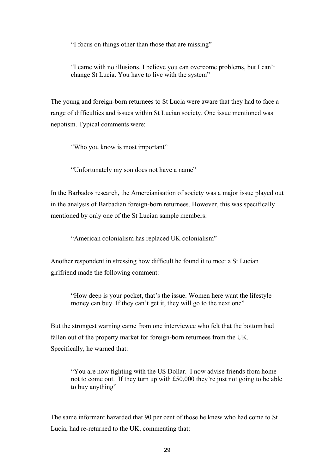"I focus on things other than those that are missing"

"I came with no illusions. I believe you can overcome problems, but I can't change St Lucia. You have to live with the system"

The young and foreign-born returnees to St Lucia were aware that they had to face a range of difficulties and issues within St Lucian society. One issue mentioned was nepotism. Typical comments were:

"Who you know is most important"

"Unfortunately my son does not have a name"

In the Barbados research, the Amercianisation of society was a major issue played out in the analysis of Barbadian foreign-born returnees. However, this was specifically mentioned by only one of the St Lucian sample members:

"American colonialism has replaced UK colonialism"

Another respondent in stressing how difficult he found it to meet a St Lucian girlfriend made the following comment:

"How deep is your pocket, that's the issue. Women here want the lifestyle money can buy. If they can't get it, they will go to the next one"

But the strongest warning came from one interviewee who felt that the bottom had fallen out of the property market for foreign-born returnees from the UK. Specifically, he warned that:

"You are now fighting with the US Dollar. I now advise friends from home not to come out. If they turn up with £50,000 they're just not going to be able to buy anything"

The same informant hazarded that 90 per cent of those he knew who had come to St Lucia, had re-returned to the UK, commenting that: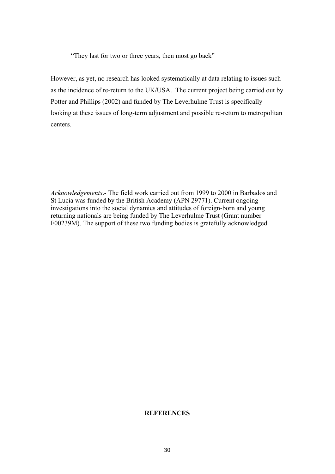"They last for two or three years, then most go back"

However, as yet, no research has looked systematically at data relating to issues such as the incidence of re-return to the UK/USA. The current project being carried out by Potter and Phillips (2002) and funded by The Leverhulme Trust is specifically looking at these issues of long-term adjustment and possible re-return to metropolitan centers.

*Acknowledgements*.- The field work carried out from 1999 to 2000 in Barbados and St Lucia was funded by the British Academy (APN 29771). Current ongoing investigations into the social dynamics and attitudes of foreign-born and young returning nationals are being funded by The Leverhulme Trust (Grant number F00239M). The support of these two funding bodies is gratefully acknowledged.

### **REFERENCES**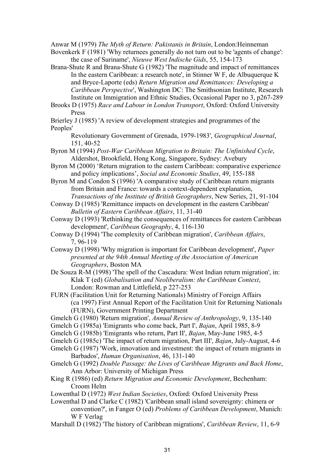Anwar M (1979) *The Myth of Return: Pakistanis in Britain*, London:Heinneman

- Bovenkerk F (1981) 'Why returnees generally do not turn out to be 'agents of change': the case of Suriname', *Nieuwe West Indische Gids*, 55, 154-173
- Brana-Shute R and Brana-Shute G (1982) 'The magnitude and impact of remittances In the eastern Caribbean: a research note', in Stinner W F, de Albuquerque K and Bryce-Laporte (eds) *Return Migration and Remittances: Developing a Caribbean Perspective*', Washington DC: The Smithsonian Institute, Research Institute on Immigration and Ethnic Studies, Occasional Paper no 3, p267-289
- Brooks D (1975) *Race and Labour in London Transport*, Oxford: Oxford University Press
- Brierley J (1985) 'A review of development strategies and programmes of the Peoples'
	- Revolutionary Government of Grenada, 1979-1983', *Geographical Journal*, 151, 40-52
- Byron M (1994) *Post-War Caribbean Migration to Britain: The Unfinished Cycle*, Aldershot, Brookfield, Hong Kong, Singapore, Sydney: Avebury
- Byron M (2000) 'Return migration to the eastern Caribbean: comparative experience and policy implications', *Social and Economic Studies*, 49, 155-188
- Byron M and Condon S (1996) 'A comparative study of Caribbean return migrants from Britain and France: towards a context-dependent explanation,

*Transactions of the Institute of British Geographers*, New Series, 21, 91-104 Conway D (1985) 'Remittance impacts on development in the eastern Caribbean' *Bulletin of Eastern Caribbean Affairs*, 11, 31-40

- Conway D (1993) 'Rethinking the consequences of remittances for eastern Caribbean development', *Caribbean Geography*, 4, 116-130
- Conway D (1994) 'The complexity of Caribbean migration', *Caribbean Affairs*, 7, 96-119
- Conway D (1998) 'Why migration is important for Caribbean development', *Paper presented at the 94th Annual Meeting of the Association of American Geographers*, Boston MA
- De Souza R-M (1998) 'The spell of the Cascadura: West Indian return migration', in: Klak T (ed) *Globalisation and Neoliberalism: the Caribbean Context*, London: Rowman and Littlefield, p 227-253
- FURN (Facilitation Unit for Returning Nationals) Ministry of Foreign Affairs (ca 1997) First Annual Report of the Facilitation Unit for Returning Nationals (FURN), Government Printing Department
- Gmelch G (1980) 'Return migration', *Annual Review of Anthropology*, 9, 135-140
- Gmelch G (1985a) 'Emigrants who come back, Part I', *Bajan*, April 1985, 8-9
- Gmelch G (1985b) 'Emigrants who return, Part II', *Bajan*, May-June 1985, 4-5
- Gmelch G (1985c) 'The impact of return migration, Part III', *Bajan*, July-August, 4-6
- Gmelch G (1987) 'Work, innovation and investment: the impact of return migrants in Barbados', *Human Organisation*, 46, 131-140
- Gmelch G (1992) *Double Passage: the Lives of Caribbean Migrants and Back Home*, Ann Arbor: University of Michigan Press
- King R (1986) (ed) *Return Migration and Economic Development*, Bechenham: Croom Helm
- Lowenthal D (1972) *West Indian Societies*, Oxford: Oxford University Press
- Lowenthal D and Clarke C (1982) 'Caribbean small island sovereignty: chimera or convention?', in Fanger O (ed) *Problems of Caribbean Development*, Munich: W F Verlag
- Marshall D (1982) 'The history of Caribbean migrations', *Caribbean Review*, 11, 6-9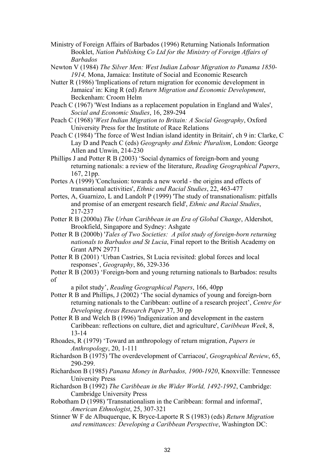- Ministry of Foreign Affairs of Barbados (1996) Returning Nationals Information Booklet, *Nation Publishing Co Ltd for the Ministry of Foreign Affairs of Barbados*
- Newton V (1984) *The Silver Men: West Indian Labour Migration to Panama 1850- 1914,* Mona, Jamaica: Institute of Social and Economic Research
- Nutter R (1986) 'Implications of return migration for economic development in Jamaica' in: King R (ed) *Return Migration and Economic Development*, Beckenham: Croom Helm
- Peach C (1967) 'West Indians as a replacement population in England and Wales', *Social and Economic Studies*, 16, 289-294
- Peach C (1968) '*West Indian Migration to Britain: A Social Geography*, Oxford University Press for the Institute of Race Relations
- Peach C (1984) 'The force of West Indian island identity in Britain', ch 9 in: Clarke, C Lay D and Peach C (eds) *Geography and Ethnic Pluralism*, London: George Allen and Unwin, 214-230
- Phillips J and Potter R B (2003) 'Social dynamics of foreign-born and young returning nationals: a review of the literature, *Reading Geographical Papers*, 167, 21pp.
- Portes A (1999) 'Conclusion: towards a new world the origins and effects of transnational activities', *Ethnic and Racial Studies*, 22, 463-477
- Portes, A, Guarnizo, L and Landolt P (1999) 'The study of transnationalism: pitfalls and promise of an emergent research field', *Ethnic and Racial Studies*, 217-237
- Potter R B (2000a) *The Urban Caribbean in an Era of Global Change*, Aldershot, Brookfield, Singapore and Sydney: Ashgate
- Potter R B (2000b) '*Tales of Two Societies: A pilot study of foreign-born returning nationals to Barbados and St Lucia*, Final report to the British Academy on Grant APN 29771
- Potter R B (2001) 'Urban Castries, St Lucia revisited: global forces and local responses', *Geography*, 86, 329-336
- Potter R B (2003) 'Foreign-born and young returning nationals to Barbados: results of

a pilot study', *Reading Geographical Papers*, 166, 40pp

- Potter R B and Phillips, J (2002) 'The social dynamics of young and foreign-born returning nationals to the Caribbean: outline of a research project', *Centre for Developing Areas Research Paper* 37, 30 pp
- Potter R B and Welch B (1996) 'Indigenization and development in the eastern Caribbean: reflections on culture, diet and agriculture', *Caribbean Week*, 8, 13-14
- Rhoades, R (1979) 'Toward an anthropology of return migration, *Papers in Anthropology*, 20, 1-111
- Richardson B (1975) 'The overdevelopment of Carriacou', *Geographical Review*, 65, 290-299.
- Richardson B (1985) *Panana Money in Barbados, 1900-1920*, Knoxville: Tennessee University Press
- Richardson B (1992) *The Caribbean in the Wider World, 1492-1992*, Cambridge: Cambridge University Press
- Robotham D (1998) 'Transnationalism in the Caribbean: formal and informal', *American Ethnologist*, 25, 307-321
- Stinner W F de Albuquerque, K Bryce-Laporte R S (1983) (eds) *Return Migration and remittances: Developing a Caribbean Perspective*, Washington DC: